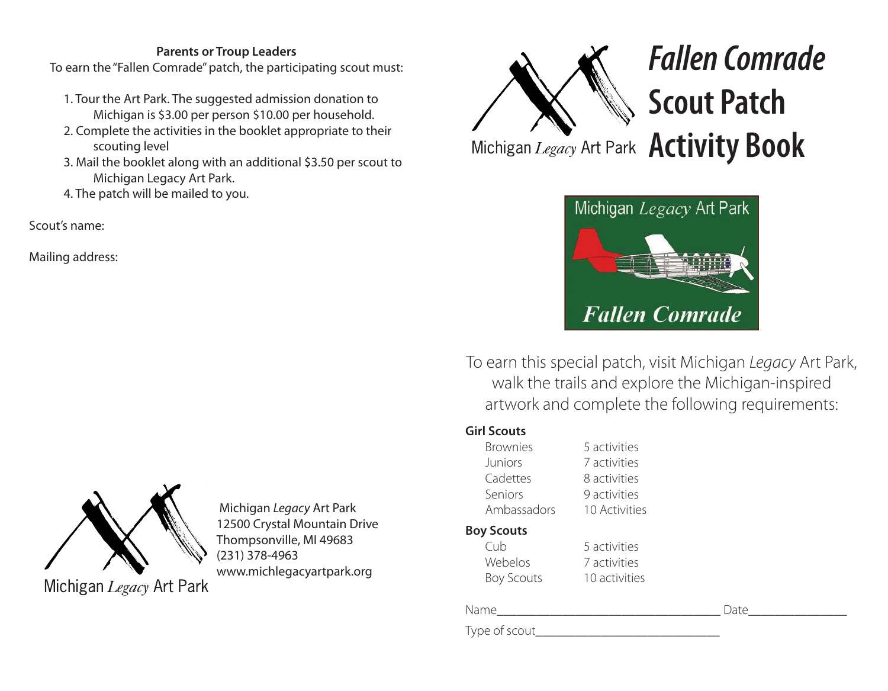#### **Parents or Troup Leaders**

To earn the "Fallen Comrade" patch, the participating scout must:

- 1. Tour the Art Park. The suggested admission donation to Michigan is \$3.00 per person \$10.00 per household.
- 2. Complete the activities in the booklet appropriate to their scouting level
- 3. Mail the booklet along with an additional \$3.50 per scout to Michigan Legacy Art Park.
- 4. The patch will be mailed to you.

Scout's name:

Mailing address:



 Michigan *Legacy* Art Park 12500 Crystal Mountain Drive Thompsonville, MI 49683 (231) 378-4963 www.michlegacyartpark.org

Michigan Legacy Art Park



Michigan *Legacy* Art Park **Activity Book** 



To earn this special patch, visit Michigan *Legacy* Art Park, walk the trails and explore the Michigan-inspired artwork and complete the following requirements:

### **Girl Scouts**

| <b>Brownies</b>   | 5 activities               |  |  |  |
|-------------------|----------------------------|--|--|--|
| <b>Juniors</b>    | 7 activities               |  |  |  |
| Cadettes          | 8 activities               |  |  |  |
| Seniors           | 9 activities               |  |  |  |
| Ambassadors       | <b>10 Activities</b>       |  |  |  |
| <b>Boy Scouts</b> |                            |  |  |  |
|                   | $\Gamma \sim$ -th $i$ tios |  |  |  |

| Cub        | 5 activities  |
|------------|---------------|
| Webelos    | 7 activities  |
| Boy Scouts | 10 activities |

Name\_\_\_\_\_\_\_\_\_\_\_\_\_\_\_\_\_\_\_\_\_\_\_\_\_\_\_\_\_\_\_\_\_\_ Date\_\_\_\_\_\_\_\_\_\_\_\_\_\_\_

Type of scout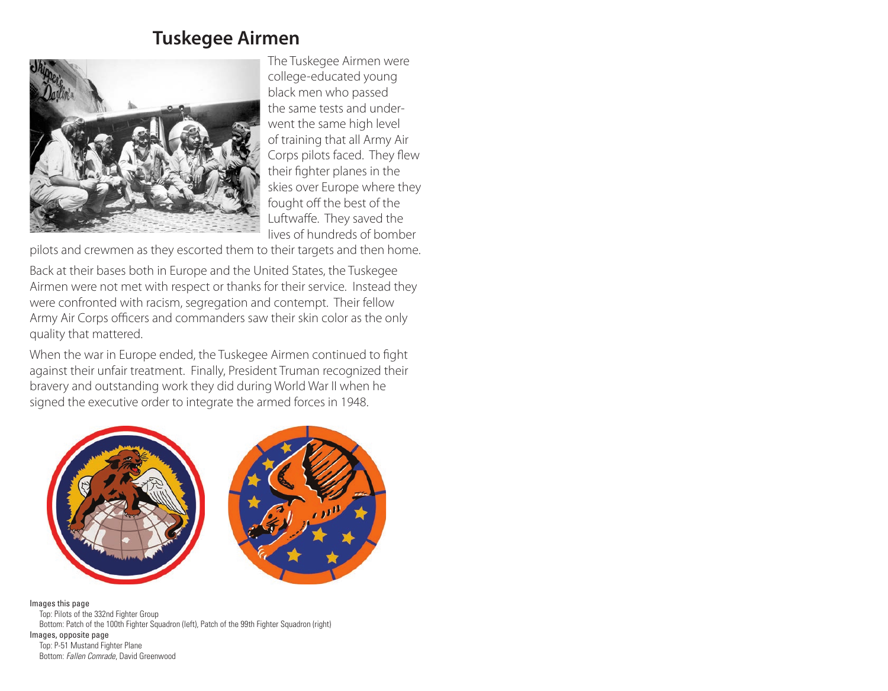## **Tuskegee Airmen**



The Tuskegee Airmen were college-educated young black men who passed the same tests and underwent the same high level of training that all Army Air Corps pilots faced. They flew their fighter planes in the skies over Europe where they fought off the best of the Luftwaffe. They saved the lives of hundreds of bomber

pilots and crewmen as they escorted them to their targets and then home.

Back at their bases both in Europe and the United States, the Tuskegee Airmen were not met with respect or thanks for their service. Instead they were confronted with racism, segregation and contempt. Their fellow Army Air Corps officers and commanders saw their skin color as the only quality that mattered.

When the war in Europe ended, the Tuskegee Airmen continued to fight against their unfair treatment. Finally, President Truman recognized their bravery and outstanding work they did during World War II when he signed the executive order to integrate the armed forces in 1948.



Images this page Top: Pilots of the 332nd Fighter Group Bottom: Patch of the 100th Fighter Squadron (left), Patch of the 99th Fighter Squadron (right) Images, opposite page Top: P-51 Mustand Fighter Plane Bottom: *Fallen Comrade*, David Greenwood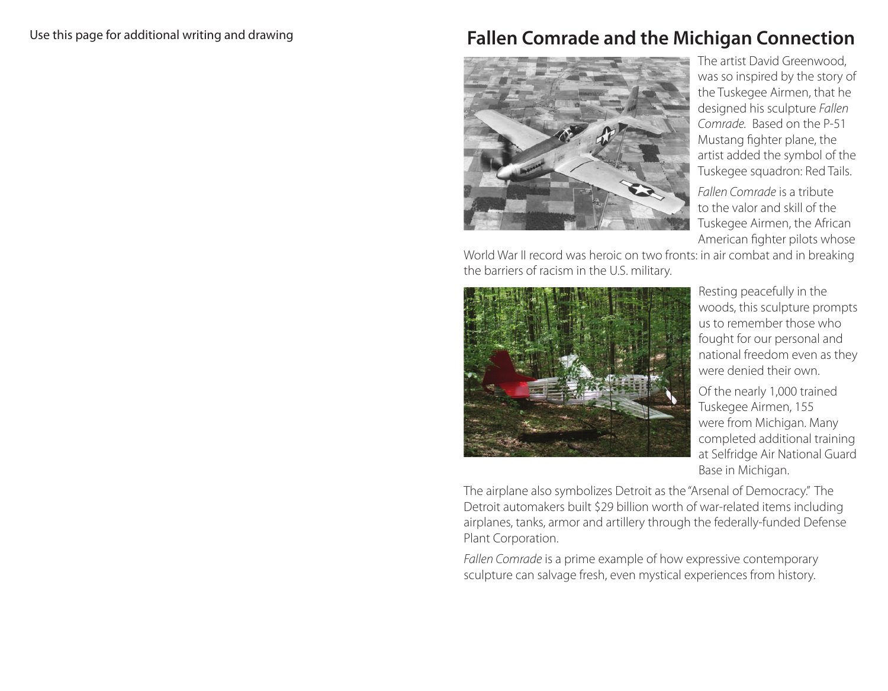## **Fallen Comrade and the Michigan Connection**



The artist David Greenwood, was so inspired by the story of the Tuskegee Airmen, that he designed his sculpture *Fallen Comrade.* Based on the P-51 Mustang fighter plane, the artist added the symbol of the Tuskegee squadron: Red Tails.

*Fallen Comrade* is a tribute to the valor and skill of the Tuskegee Airmen, the African American fighter pilots whose

World War II record was heroic on two fronts: in air combat and in breaking the barriers of racism in the U.S. military.



Resting peacefully in the woods, this sculpture prompts us to remember those who fought for our personal and national freedom even as they were denied their own.

Of the nearly 1,000 trained Tuskegee Airmen, 155 were from Michigan. Many completed additional training at Selfridge Air National Guard Base in Michigan.

The airplane also symbolizes Detroit as the "Arsenal of Democracy." The Detroit automakers built \$29 billion worth of war-related items including airplanes, tanks, armor and artillery through the federally-funded Defense Plant Corporation.

*Fallen Comrade* is a prime example of how expressive contemporary sculpture can salvage fresh, even mystical experiences from history.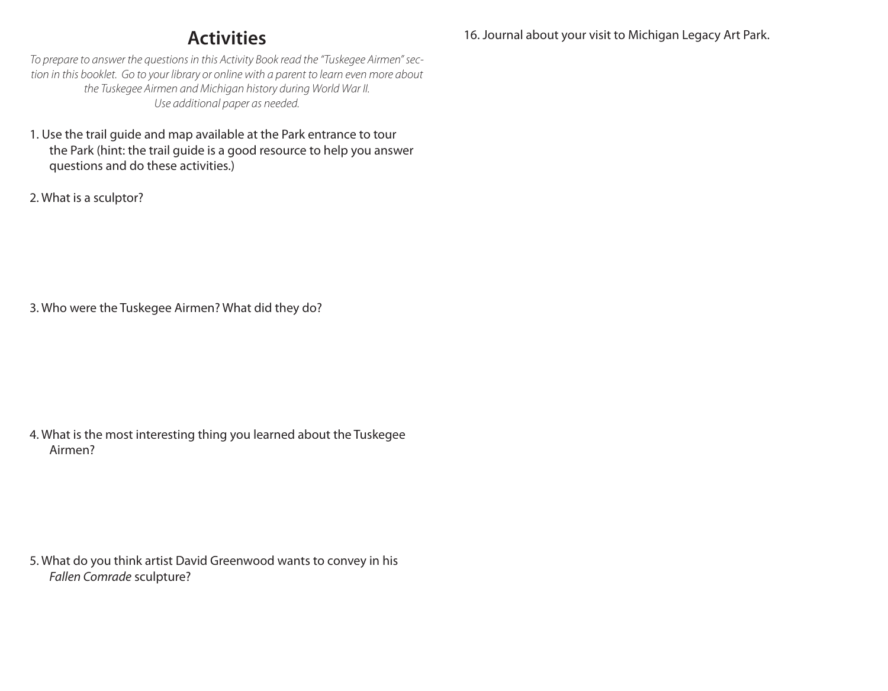# **Activities**

16. Journal about your visit to Michigan Legacy Art Park.

*To prepare to answer the questions in this Activity Book read the "Tuskegee Airmen" section in this booklet. Go to your library or online with a parent to learn even more about the Tuskegee Airmen and Michigan history during World War II. Use additional paper as needed.*

- 1. Use the trail guide and map available at the Park entrance to tour the Park (hint: the trail guide is a good resource to help you answer questions and do these activities.)
- 2. What is a sculptor?

3. Who were the Tuskegee Airmen? What did they do?

4. What is the most interesting thing you learned about the Tuskegee Airmen?

5. What do you think artist David Greenwood wants to convey in his *Fallen Comrade* sculpture?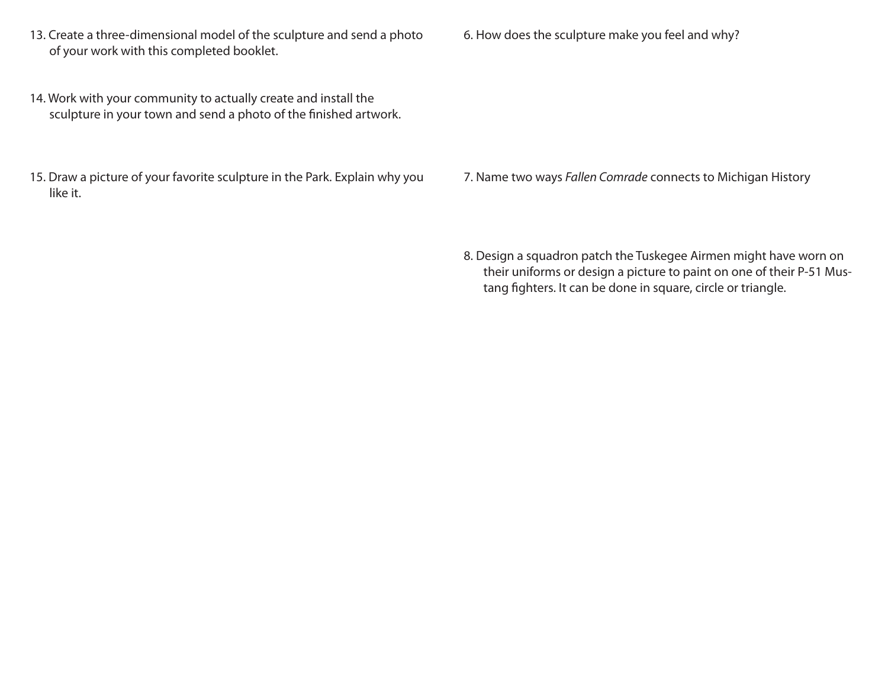- 13. Create a three-dimensional model of the sculpture and send a photo of your work with this completed booklet.
- 14. Work with your community to actually create and install the sculpture in your town and send a photo of the finished artwork.
- 15. Draw a picture of your favorite sculpture in the Park. Explain why you like it.

6. How does the sculpture make you feel and why?

7. Name two ways *Fallen Comrade* connects to Michigan History

8. Design a squadron patch the Tuskegee Airmen might have worn on their uniforms or design a picture to paint on one of their P-51 Mustang fighters. It can be done in square, circle or triangle.